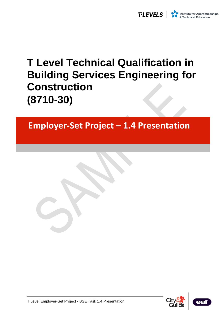

# **T Level Technical Qualification in Building Services Engineering for Construction (8710-30)**

# **Employer-Set Project – 1.4 Presentation**





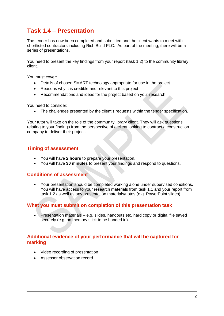## **Task 1.4 – Presentation**

The tender has now been completed and submitted and the client wants to meet with shortlisted contractors including Rich Build PLC. As part of the meeting, there will be a series of presentations.

You need to present the key findings from your report (task 1.2) to the community library client.

You must cover:

- Details of chosen SMART technology appropriate for use in the project
- Reasons why it is credible and relevant to this project
- Recommendations and ideas for the project based on your research.

You need to consider:

• The challenges presented by the client's requests within the tender specification.

Your tutor will take on the role of the community library client. They will ask questions relating to your findings from the perspective of a client looking to contract a construction company to deliver their project.

#### **Timing of assessment**

- You will have **2 hours** to prepare your presentation.
- You will have **30 minutes** to present your findings and respond to questions.

#### **Conditions of assessment**

• Your presentation should be completed working alone under supervised conditions. You will have access to your research materials from task 1.1 and your report from task 1.2 as well as any presentation materials/notes (e.g. PowerPoint slides).

#### **What you must submit on completion of this presentation task**

• Presentation materials – e.g. slides, handouts etc. hard copy or digital file saved securely (e.g. on memory stick to be handed in).

#### **Additional evidence of your performance that will be captured for marking**

- Video recording of presentation
- Assessor observation record.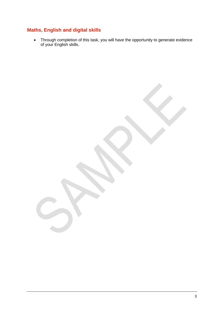### **Maths, English and digital skills**

• Through completion of this task, you will have the opportunity to generate evidence of your English skills.

3